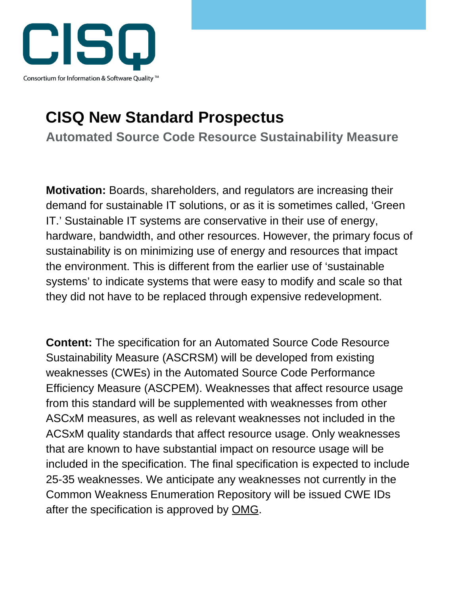

## **CISQ New Standard Prospectus**

**Automated Source Code Resource Sustainability Measure**

**Motivation:** Boards, shareholders, and regulators are increasing their demand for sustainable IT solutions, or as it is sometimes called, 'Green IT.' Sustainable IT systems are conservative in their use of energy, hardware, bandwidth, and other resources. However, the primary focus of sustainability is on minimizing use of energy and resources that impact the environment. This is different from the earlier use of 'sustainable systems' to indicate systems that were easy to modify and scale so that they did not have to be replaced through expensive redevelopment.

**Content:** The specification for an Automated Source Code Resource Sustainability Measure (ASCRSM) will be developed from existing weaknesses (CWEs) in the Automated Source Code Performance Efficiency Measure (ASCPEM). Weaknesses that affect resource usage from this standard will be supplemented with weaknesses from other ASCxM measures, as well as relevant weaknesses not included in the ACSxM quality standards that affect resource usage. Only weaknesses that are known to have substantial impact on resource usage will be included in the specification. The final specification is expected to include 25-35 weaknesses. We anticipate any weaknesses not currently in the Common Weakness Enumeration Repository will be issued CWE IDs after the specification is approved by [OMG.](https://www.omg.org/index.htm)